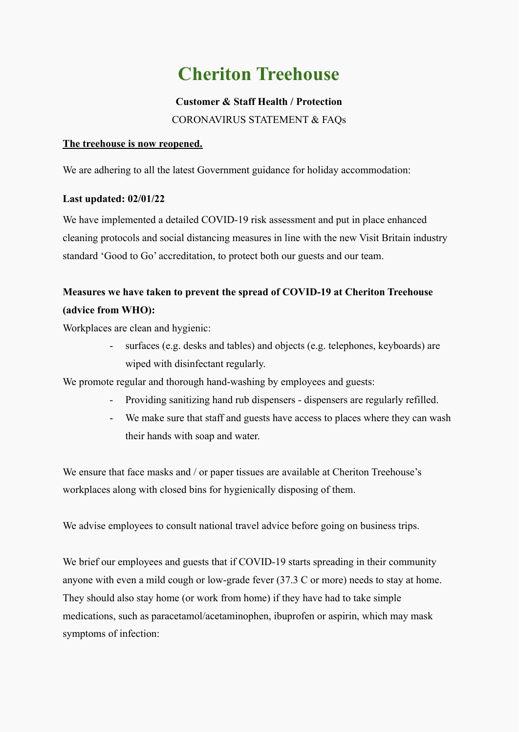# **Cheriton Treehouse**

### **Customer & Staff Health / Protection**

CORONAVIRUS STATEMENT & FAQs

#### **The treehouse is now reopened.**

We are adhering to all the latest Government guidance for holiday accommodation:

#### **Last updated: 02/01/22**

We have implemented a detailed COVID-19 risk assessment and put in place enhanced cleaning protocols and social distancing measures in line with the new Visit Britain industry standard 'Good to Go' accreditation, to protect both our guests and our team.

## **Measures we have taken to prevent the spread of COVID-19 at Cheriton Treehouse (advice from WHO):**

Workplaces are clean and hygienic:

surfaces (e.g. desks and tables) and objects (e.g. telephones, keyboards) are wiped with disinfectant regularly.

We promote regular and thorough hand-washing by employees and guests:

- Providing sanitizing hand rub dispensers dispensers are regularly refilled.
- We make sure that staff and guests have access to places where they can wash their hands with soap and water.

We ensure that face masks and / or paper tissues are available at Cheriton Treehouse's workplaces along with closed bins for hygienically disposing of them.

We advise employees to consult national travel advice before going on business trips.

We brief our employees and guests that if COVID-19 starts spreading in their community anyone with even a mild cough or low-grade fever (37.3 C or more) needs to stay at home. They should also stay home (or work from home) if they have had to take simple medications, such as paracetamol/acetaminophen, ibuprofen or aspirin, which may mask symptoms of infection: